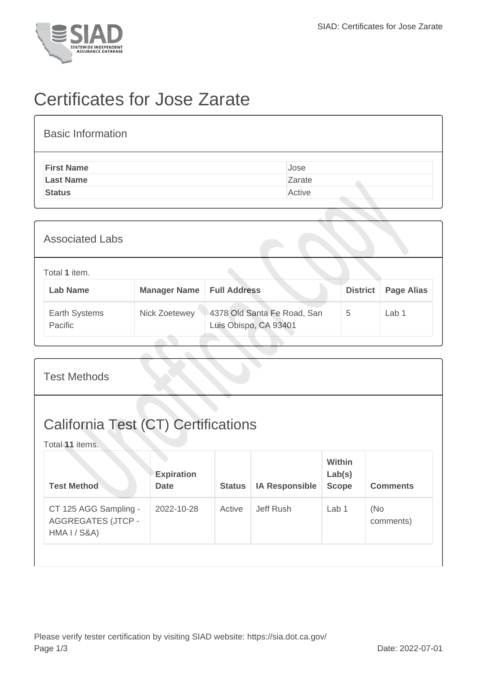

## Certificates for Jose Zarate

| <b>Basic Information</b> |        |
|--------------------------|--------|
| <b>First Name</b>        | Jose   |
| <b>Last Name</b>         | Zarate |
| <b>Status</b>            | Active |
|                          |        |

| <b>Associated Labs</b>           |                     |                                                      |                 |                   |
|----------------------------------|---------------------|------------------------------------------------------|-----------------|-------------------|
| Total 1 item.<br><b>Lab Name</b> | <b>Manager Name</b> | <b>Full Address</b>                                  | <b>District</b> | <b>Page Alias</b> |
| Earth Systems<br>Pacific         | Nick Zoetewey       | 4378 Old Santa Fe Road, San<br>Luis Obispo, CA 93401 | 5               | Lab 1             |

| <b>Test Methods</b>                                                |                                  |               |                       |                                         |                   |  |  |
|--------------------------------------------------------------------|----------------------------------|---------------|-----------------------|-----------------------------------------|-------------------|--|--|
| <b>California Test (CT) Certifications</b><br>Total 11 items.      |                                  |               |                       |                                         |                   |  |  |
| <b>Test Method</b>                                                 | <b>Expiration</b><br><b>Date</b> | <b>Status</b> | <b>IA Responsible</b> | <b>Within</b><br>Lab(s)<br><b>Scope</b> | <b>Comments</b>   |  |  |
| CT 125 AGG Sampling -<br><b>AGGREGATES (JTCP -</b><br>HMA I / S&A) | 2022-10-28                       | Active        | Jeff Rush             | Lab <sub>1</sub>                        | (No)<br>comments) |  |  |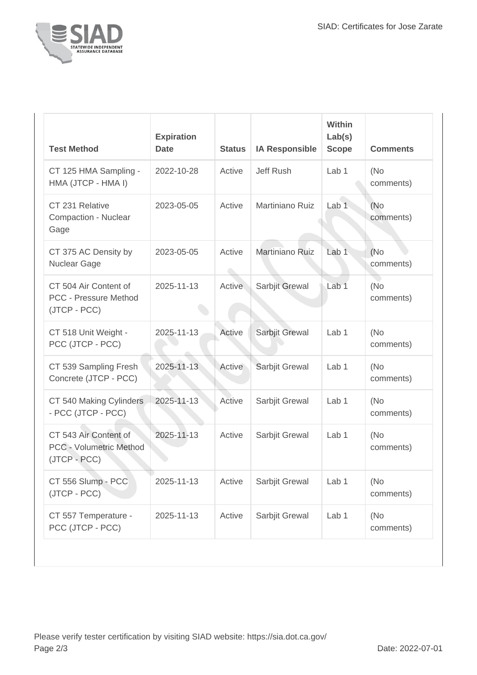

| <b>Test Method</b>                                                      | <b>Expiration</b><br><b>Date</b> | <b>Status</b> | <b>IA Responsible</b> | Within<br>Lab(s)<br><b>Scope</b> | <b>Comments</b>   |
|-------------------------------------------------------------------------|----------------------------------|---------------|-----------------------|----------------------------------|-------------------|
| CT 125 HMA Sampling -<br>HMA (JTCP - HMA I)                             | 2022-10-28                       | Active        | Jeff Rush             | Lab <sub>1</sub>                 | (No<br>comments)  |
| CT 231 Relative<br>Compaction - Nuclear<br>Gage                         | 2023-05-05                       | Active        | Martiniano Ruiz       | Lab <sub>1</sub>                 | (No)<br>comments) |
| CT 375 AC Density by<br><b>Nuclear Gage</b>                             | 2023-05-05                       | Active        | Martiniano Ruiz       | Lab 1                            | (No<br>comments)  |
| CT 504 Air Content of<br><b>PCC - Pressure Method</b><br>(JTCP - PCC)   | 2025-11-13                       | <b>Active</b> | Sarbjit Grewal        | Lab <sub>1</sub>                 | (No<br>comments)  |
| CT 518 Unit Weight -<br>PCC (JTCP - PCC)                                | 2025-11-13                       | Active        | Sarbjit Grewal        | Lab 1                            | (No<br>comments)  |
| CT 539 Sampling Fresh<br>Concrete (JTCP - PCC)                          | 2025-11-13                       | Active        | Sarbjit Grewal        | Lab <sub>1</sub>                 | (No<br>comments)  |
| CT 540 Making Cylinders<br>- PCC (JTCP - PCC)                           | 2025-11-13                       | Active        | Sarbjit Grewal        | Lab 1                            | (No<br>comments)  |
| CT 543 Air Content of<br><b>PCC - Volumetric Method</b><br>(JTCP - PCC) | 2025-11-13                       | Active        | Sarbjit Grewal        | Lab <sub>1</sub>                 | (No<br>comments)  |
| CT 556 Slump - PCC<br>(JTCP - PCC)                                      | 2025-11-13                       | Active        | Sarbjit Grewal        | Lab 1                            | (No<br>comments)  |
| CT 557 Temperature -<br>PCC (JTCP - PCC)                                | 2025-11-13                       | Active        | Sarbjit Grewal        | Lab 1                            | (No<br>comments)  |